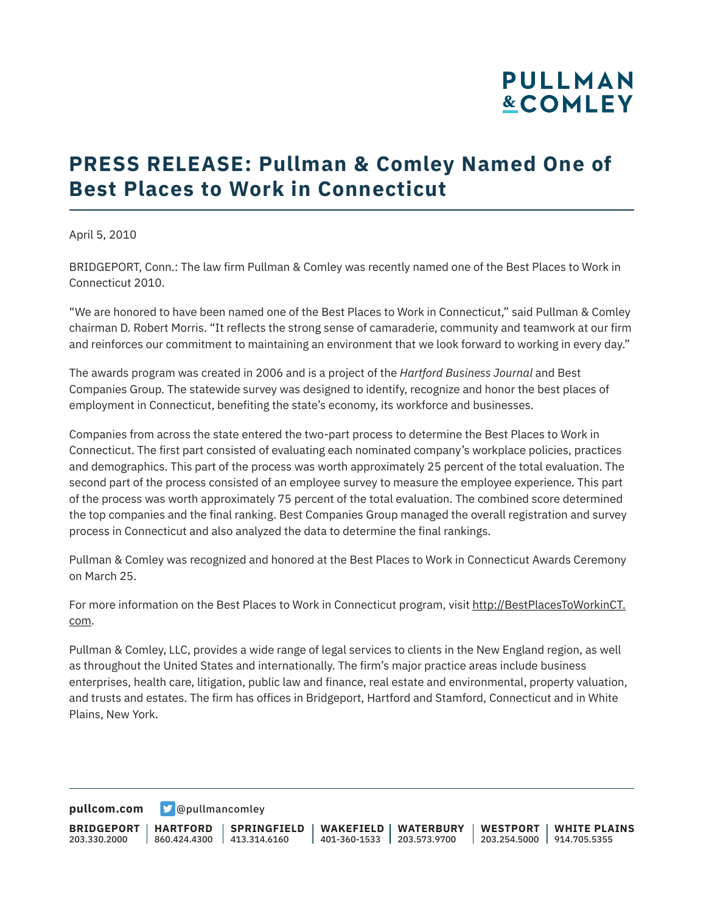## **PULLMAN &COMLEY**

## **PRESS RELEASE: Pullman & Comley Named One of Best Places to Work in Connecticut**

April 5, 2010

BRIDGEPORT, Conn.: The law firm Pullman & Comley was recently named one of the Best Places to Work in Connecticut 2010.

"We are honored to have been named one of the Best Places to Work in Connecticut," said Pullman & Comley chairman D. Robert Morris. "It reflects the strong sense of camaraderie, community and teamwork at our firm and reinforces our commitment to maintaining an environment that we look forward to working in every day."

The awards program was created in 2006 and is a project of the *Hartford Business Journal* and Best Companies Group. The statewide survey was designed to identify, recognize and honor the best places of employment in Connecticut, benefiting the state's economy, its workforce and businesses.

Companies from across the state entered the two-part process to determine the Best Places to Work in Connecticut. The first part consisted of evaluating each nominated company's workplace policies, practices and demographics. This part of the process was worth approximately 25 percent of the total evaluation. The second part of the process consisted of an employee survey to measure the employee experience. This part of the process was worth approximately 75 percent of the total evaluation. The combined score determined the top companies and the final ranking. Best Companies Group managed the overall registration and survey process in Connecticut and also analyzed the data to determine the final rankings.

Pullman & Comley was recognized and honored at the Best Places to Work in Connecticut Awards Ceremony on March 25.

For more information on the Best Places to Work in Connecticut program, visit http://BestPlacesToWorkinCT. com.

Pullman & Comley, LLC, provides a wide range of legal services to clients in the New England region, as well as throughout the United States and internationally. The firm's major practice areas include business enterprises, health care, litigation, public law and finance, real estate and environmental, property valuation, and trusts and estates. The firm has offices in Bridgeport, Hartford and Stamford, Connecticut and in White Plains, New York.

**[pullcom.com](https://www.pullcom.com) g** [@pullmancomley](https://twitter.com/PullmanComley)